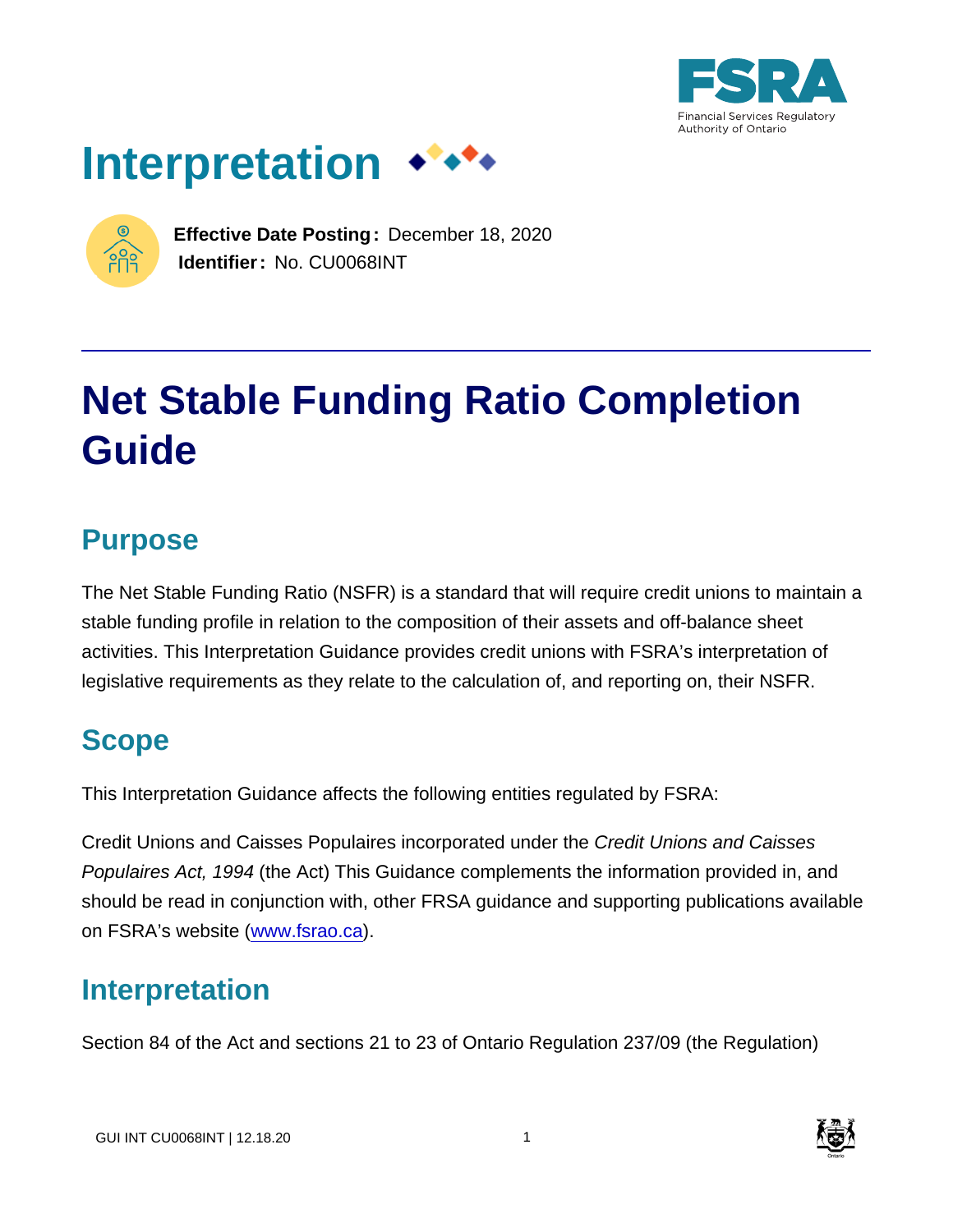





**Effective Date Posting:** December 18, 2020 **Identifier:** No. CU0068INT

# **Net Stable Funding Ratio Completion Guide**

# **Purpose**

The Net Stable Funding Ratio (NSFR) is a standard that will require credit unions to maintain a stable funding profile in relation to the composition of their assets and off-balance sheet activities. This Interpretation Guidance provides credit unions with FSRA's interpretation of legislative requirements as they relate to the calculation of, and reporting on, their NSFR.

# **Scope**

This Interpretation Guidance affects the following entities regulated by FSRA:

Credit Unions and Caisses Populaires incorporated under the Credit Unions and Caisses Populaires Act, 1994 (the Act) This Guidance complements the information provided in, and should be read in conjunction with, other FRSA guidance and supporting publications available on FSRA's website [\(www.fsrao.ca](http://www.fsrao.ca)).

# **Interpretation**

Section 84 of the Act and sections 21 to 23 of Ontario Regulation 237/09 (the Regulation)

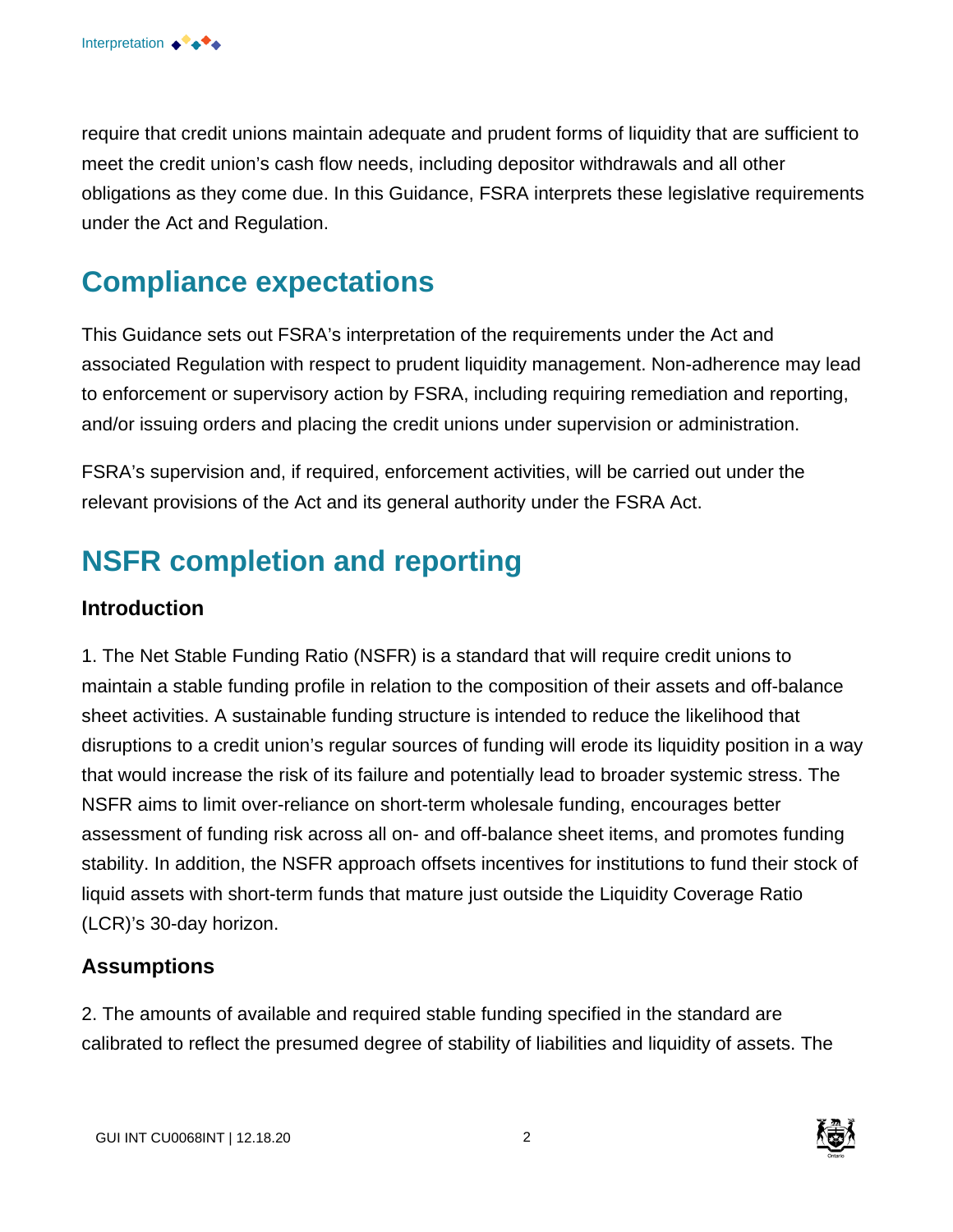require that credit unions maintain adequate and prudent forms of liquidity that are sufficient to meet the credit union's cash flow needs, including depositor withdrawals and all other obligations as they come due. In this Guidance, FSRA interprets these legislative requirements under the Act and Regulation.

# **Compliance expectations**

This Guidance sets out FSRA's interpretation of the requirements under the Act and associated Regulation with respect to prudent liquidity management. Non-adherence may lead to enforcement or supervisory action by FSRA, including requiring remediation and reporting, and/or issuing orders and placing the credit unions under supervision or administration.

FSRA's supervision and, if required, enforcement activities, will be carried out under the relevant provisions of the Act and its general authority under the FSRA Act.

# **NSFR completion and reporting**

#### **Introduction**

1. The Net Stable Funding Ratio (NSFR) is a standard that will require credit unions to maintain a stable funding profile in relation to the composition of their assets and off-balance sheet activities. A sustainable funding structure is intended to reduce the likelihood that disruptions to a credit union's regular sources of funding will erode its liquidity position in a way that would increase the risk of its failure and potentially lead to broader systemic stress. The NSFR aims to limit over-reliance on short-term wholesale funding, encourages better assessment of funding risk across all on- and off-balance sheet items, and promotes funding stability. In addition, the NSFR approach offsets incentives for institutions to fund their stock of liquid assets with short-term funds that mature just outside the Liquidity Coverage Ratio (LCR)'s 30-day horizon.

#### **Assumptions**

2. The amounts of available and required stable funding specified in the standard are calibrated to reflect the presumed degree of stability of liabilities and liquidity of assets. The

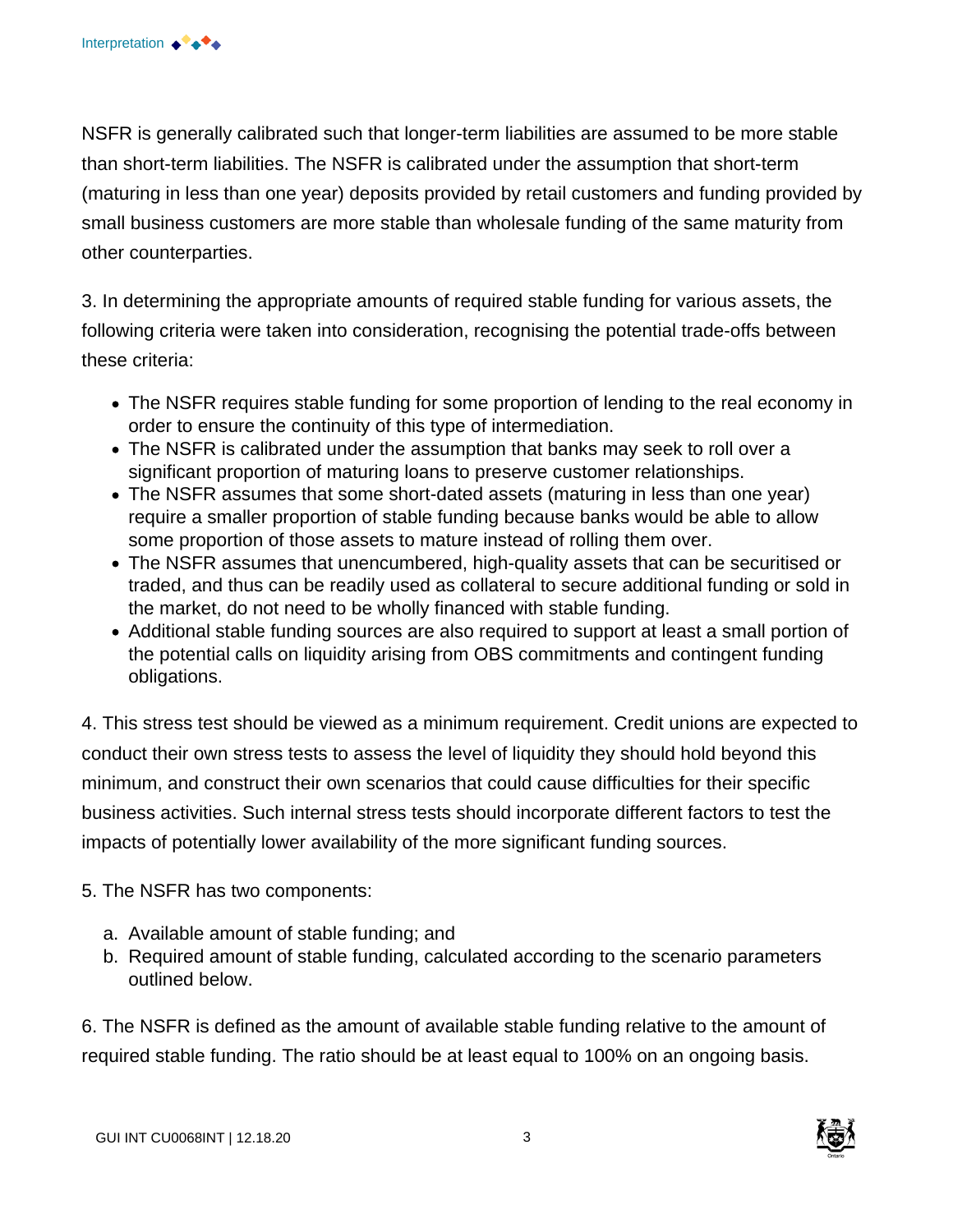NSFR is generally calibrated such that longer-term liabilities are assumed to be more stable than short-term liabilities. The NSFR is calibrated under the assumption that short-term (maturing in less than one year) deposits provided by retail customers and funding provided by small business customers are more stable than wholesale funding of the same maturity from other counterparties.

3. In determining the appropriate amounts of required stable funding for various assets, the following criteria were taken into consideration, recognising the potential trade-offs between these criteria:

- The NSFR requires stable funding for some proportion of lending to the real economy in order to ensure the continuity of this type of intermediation.
- The NSFR is calibrated under the assumption that banks may seek to roll over a significant proportion of maturing loans to preserve customer relationships.
- The NSFR assumes that some short-dated assets (maturing in less than one year) require a smaller proportion of stable funding because banks would be able to allow some proportion of those assets to mature instead of rolling them over.
- The NSFR assumes that unencumbered, high-quality assets that can be securitised or traded, and thus can be readily used as collateral to secure additional funding or sold in the market, do not need to be wholly financed with stable funding.
- Additional stable funding sources are also required to support at least a small portion of the potential calls on liquidity arising from OBS commitments and contingent funding obligations.

4. This stress test should be viewed as a minimum requirement. Credit unions are expected to conduct their own stress tests to assess the level of liquidity they should hold beyond this minimum, and construct their own scenarios that could cause difficulties for their specific business activities. Such internal stress tests should incorporate different factors to test the impacts of potentially lower availability of the more significant funding sources.

- 5. The NSFR has two components:
	- a. Available amount of stable funding; and
	- b. Required amount of stable funding, calculated according to the scenario parameters outlined below.

6. The NSFR is defined as the amount of available stable funding relative to the amount of required stable funding. The ratio should be at least equal to 100% on an ongoing basis.

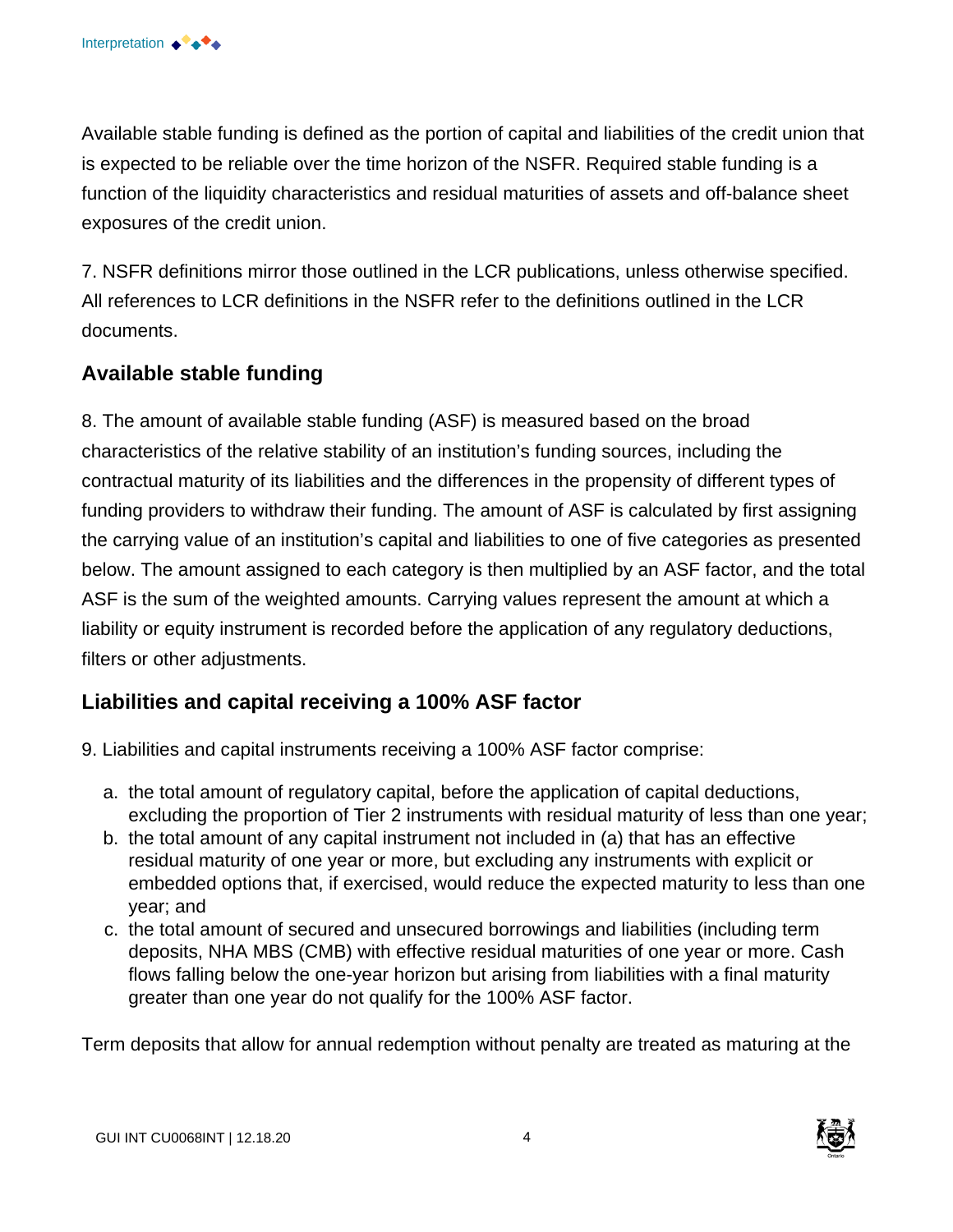Available stable funding is defined as the portion of capital and liabilities of the credit union that is expected to be reliable over the time horizon of the NSFR. Required stable funding is a function of the liquidity characteristics and residual maturities of assets and off-balance sheet exposures of the credit union.

7. NSFR definitions mirror those outlined in the LCR publications, unless otherwise specified. All references to LCR definitions in the NSFR refer to the definitions outlined in the LCR documents.

#### **Available stable funding**

8. The amount of available stable funding (ASF) is measured based on the broad characteristics of the relative stability of an institution's funding sources, including the contractual maturity of its liabilities and the differences in the propensity of different types of funding providers to withdraw their funding. The amount of ASF is calculated by first assigning the carrying value of an institution's capital and liabilities to one of five categories as presented below. The amount assigned to each category is then multiplied by an ASF factor, and the total ASF is the sum of the weighted amounts. Carrying values represent the amount at which a liability or equity instrument is recorded before the application of any regulatory deductions, filters or other adjustments.

#### **Liabilities and capital receiving a 100% ASF factor**

9. Liabilities and capital instruments receiving a 100% ASF factor comprise:

- a. the total amount of regulatory capital, before the application of capital deductions, excluding the proportion of Tier 2 instruments with residual maturity of less than one year;
- b. the total amount of any capital instrument not included in (a) that has an effective residual maturity of one year or more, but excluding any instruments with explicit or embedded options that, if exercised, would reduce the expected maturity to less than one year; and
- c. the total amount of secured and unsecured borrowings and liabilities (including term deposits, NHA MBS (CMB) with effective residual maturities of one year or more. Cash flows falling below the one-year horizon but arising from liabilities with a final maturity greater than one year do not qualify for the 100% ASF factor.

Term deposits that allow for annual redemption without penalty are treated as maturing at the

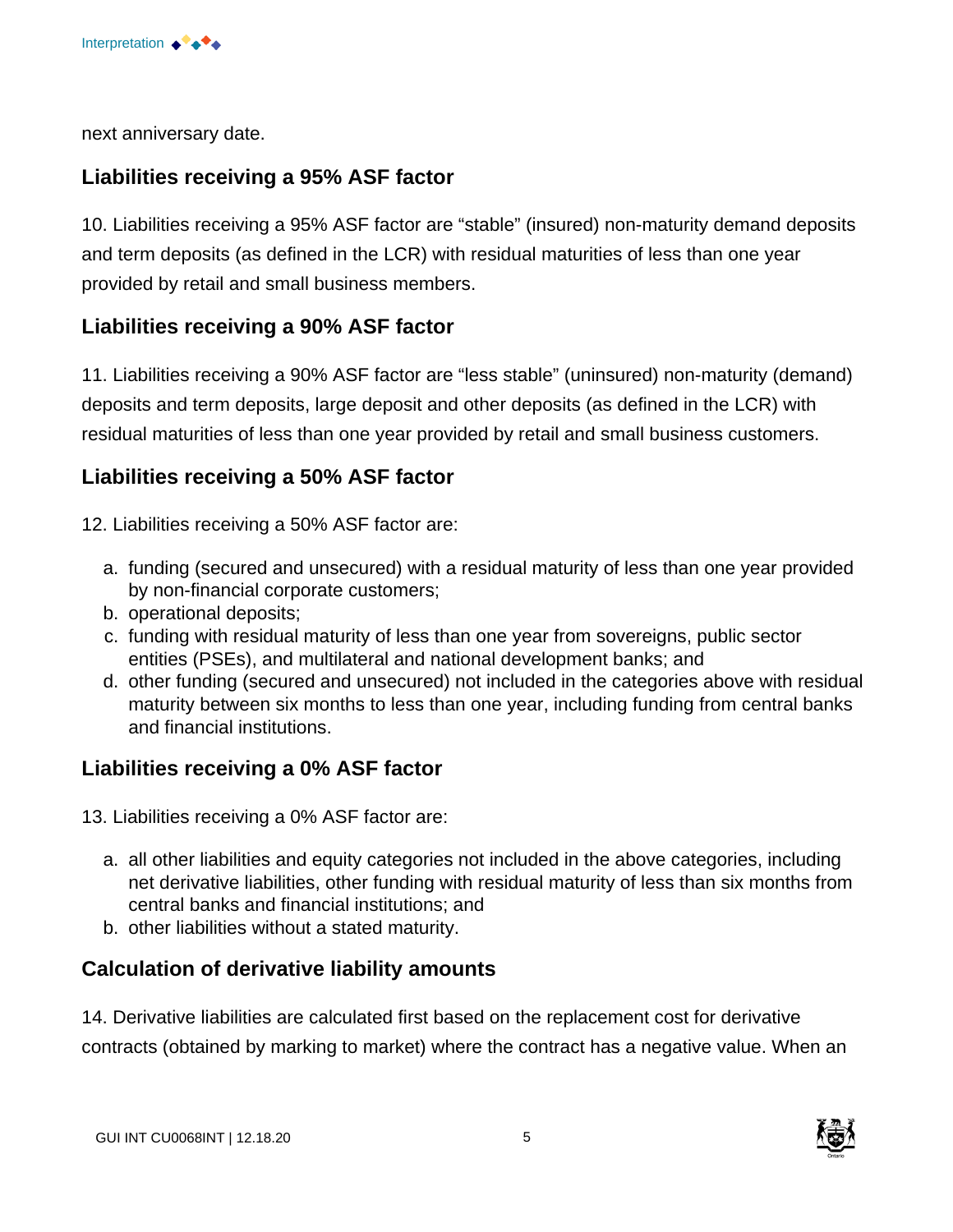

next anniversary date.

#### **Liabilities receiving a 95% ASF factor**

10. Liabilities receiving a 95% ASF factor are "stable" (insured) non-maturity demand deposits and term deposits (as defined in the LCR) with residual maturities of less than one year provided by retail and small business members.

#### **Liabilities receiving a 90% ASF factor**

11. Liabilities receiving a 90% ASF factor are "less stable" (uninsured) non-maturity (demand) deposits and term deposits, large deposit and other deposits (as defined in the LCR) with residual maturities of less than one year provided by retail and small business customers.

#### **Liabilities receiving a 50% ASF factor**

12. Liabilities receiving a 50% ASF factor are:

- a. funding (secured and unsecured) with a residual maturity of less than one year provided by non-financial corporate customers;
- b. operational deposits;
- c. funding with residual maturity of less than one year from sovereigns, public sector entities (PSEs), and multilateral and national development banks; and
- d. other funding (secured and unsecured) not included in the categories above with residual maturity between six months to less than one year, including funding from central banks and financial institutions.

#### **Liabilities receiving a 0% ASF factor**

13. Liabilities receiving a 0% ASF factor are:

- a. all other liabilities and equity categories not included in the above categories, including net derivative liabilities, other funding with residual maturity of less than six months from central banks and financial institutions; and
- b. other liabilities without a stated maturity.

#### **Calculation of derivative liability amounts**

14. Derivative liabilities are calculated first based on the replacement cost for derivative contracts (obtained by marking to market) where the contract has a negative value. When an

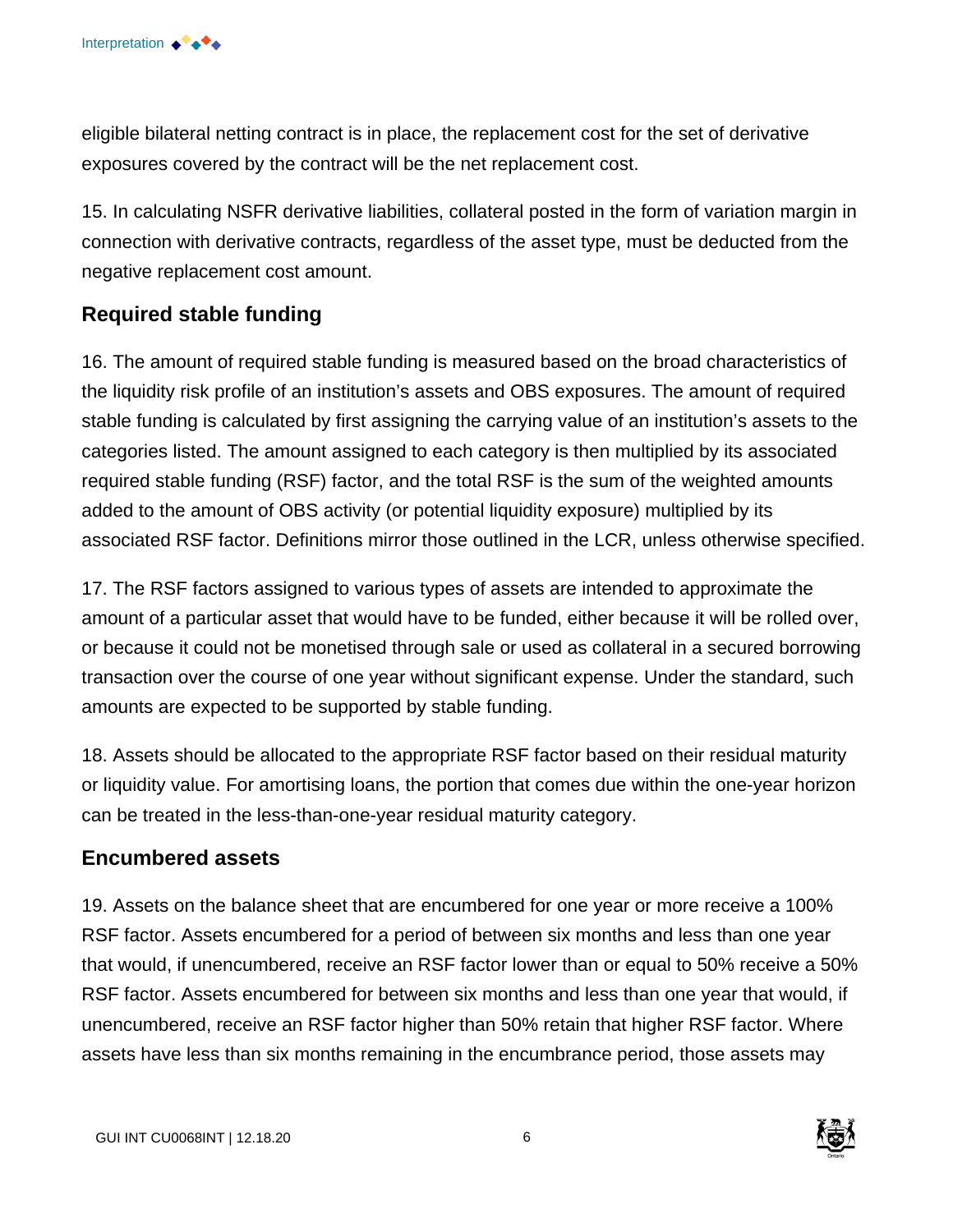eligible bilateral netting contract is in place, the replacement cost for the set of derivative exposures covered by the contract will be the net replacement cost.

15. In calculating NSFR derivative liabilities, collateral posted in the form of variation margin in connection with derivative contracts, regardless of the asset type, must be deducted from the negative replacement cost amount.

#### **Required stable funding**

16. The amount of required stable funding is measured based on the broad characteristics of the liquidity risk profile of an institution's assets and OBS exposures. The amount of required stable funding is calculated by first assigning the carrying value of an institution's assets to the categories listed. The amount assigned to each category is then multiplied by its associated required stable funding (RSF) factor, and the total RSF is the sum of the weighted amounts added to the amount of OBS activity (or potential liquidity exposure) multiplied by its associated RSF factor. Definitions mirror those outlined in the LCR, unless otherwise specified.

17. The RSF factors assigned to various types of assets are intended to approximate the amount of a particular asset that would have to be funded, either because it will be rolled over, or because it could not be monetised through sale or used as collateral in a secured borrowing transaction over the course of one year without significant expense. Under the standard, such amounts are expected to be supported by stable funding.

18. Assets should be allocated to the appropriate RSF factor based on their residual maturity or liquidity value. For amortising loans, the portion that comes due within the one-year horizon can be treated in the less-than-one-year residual maturity category.

#### **Encumbered assets**

19. Assets on the balance sheet that are encumbered for one year or more receive a 100% RSF factor. Assets encumbered for a period of between six months and less than one year that would, if unencumbered, receive an RSF factor lower than or equal to 50% receive a 50% RSF factor. Assets encumbered for between six months and less than one year that would, if unencumbered, receive an RSF factor higher than 50% retain that higher RSF factor. Where assets have less than six months remaining in the encumbrance period, those assets may

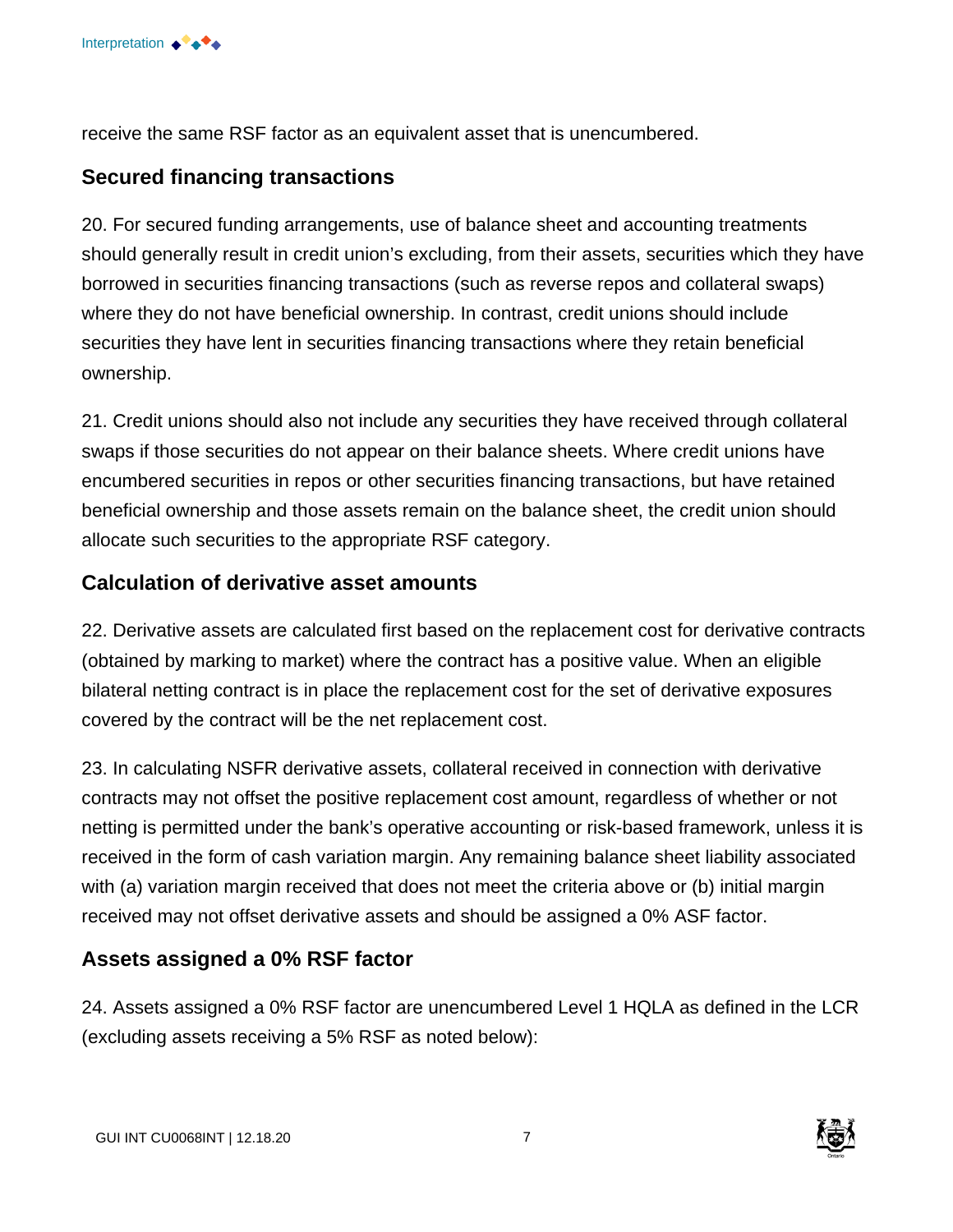

receive the same RSF factor as an equivalent asset that is unencumbered.

#### **Secured financing transactions**

20. For secured funding arrangements, use of balance sheet and accounting treatments should generally result in credit union's excluding, from their assets, securities which they have borrowed in securities financing transactions (such as reverse repos and collateral swaps) where they do not have beneficial ownership. In contrast, credit unions should include securities they have lent in securities financing transactions where they retain beneficial ownership.

21. Credit unions should also not include any securities they have received through collateral swaps if those securities do not appear on their balance sheets. Where credit unions have encumbered securities in repos or other securities financing transactions, but have retained beneficial ownership and those assets remain on the balance sheet, the credit union should allocate such securities to the appropriate RSF category.

#### **Calculation of derivative asset amounts**

22. Derivative assets are calculated first based on the replacement cost for derivative contracts (obtained by marking to market) where the contract has a positive value. When an eligible bilateral netting contract is in place the replacement cost for the set of derivative exposures covered by the contract will be the net replacement cost.

23. In calculating NSFR derivative assets, collateral received in connection with derivative contracts may not offset the positive replacement cost amount, regardless of whether or not netting is permitted under the bank's operative accounting or risk-based framework, unless it is received in the form of cash variation margin. Any remaining balance sheet liability associated with (a) variation margin received that does not meet the criteria above or (b) initial margin received may not offset derivative assets and should be assigned a 0% ASF factor.

#### **Assets assigned a 0% RSF factor**

24. Assets assigned a 0% RSF factor are unencumbered Level 1 HQLA as defined in the LCR (excluding assets receiving a 5% RSF as noted below):

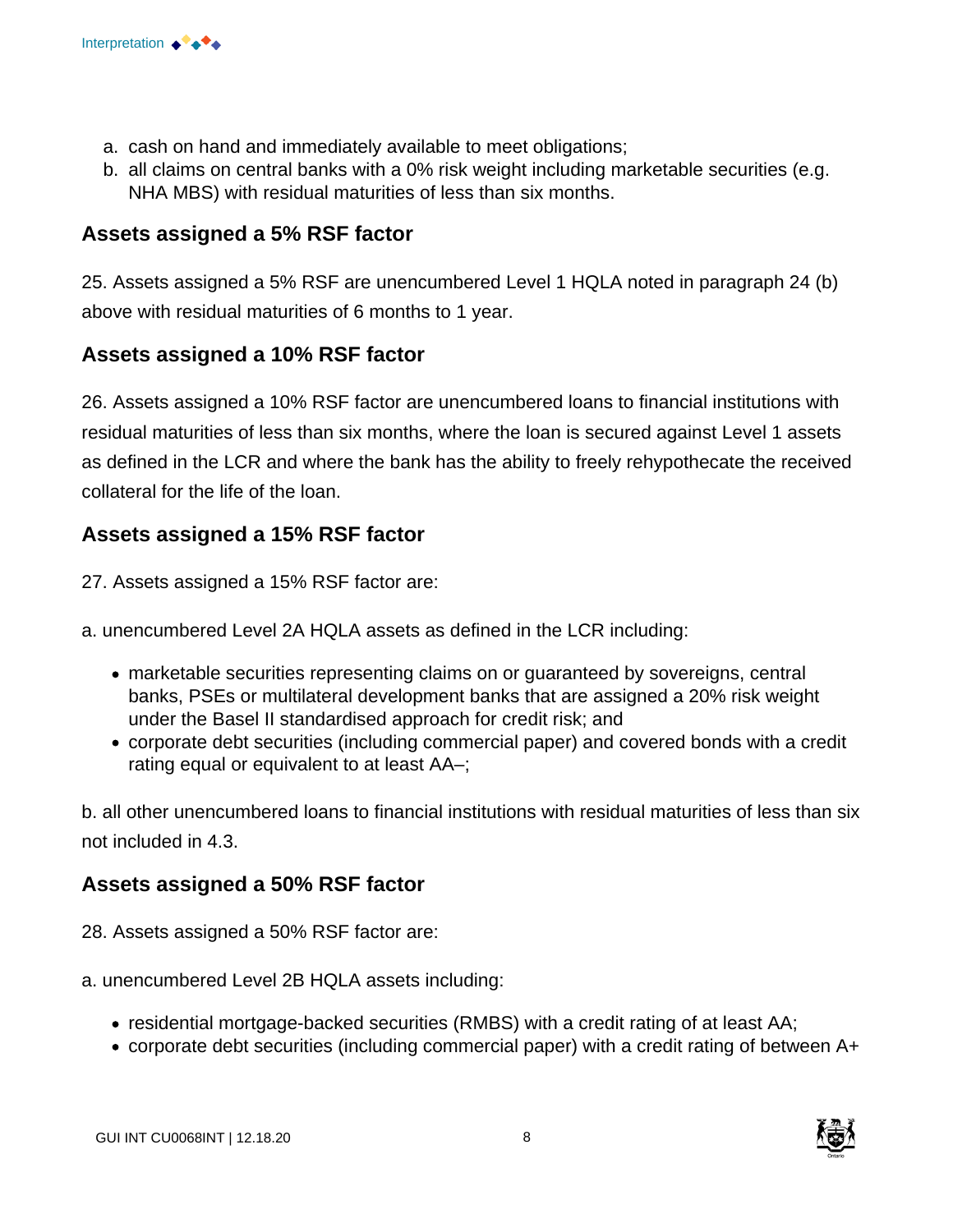

- a. cash on hand and immediately available to meet obligations;
- b. all claims on central banks with a 0% risk weight including marketable securities (e.g. NHA MBS) with residual maturities of less than six months.

#### **Assets assigned a 5% RSF factor**

25. Assets assigned a 5% RSF are unencumbered Level 1 HQLA noted in paragraph 24 (b) above with residual maturities of 6 months to 1 year.

#### **Assets assigned a 10% RSF factor**

26. Assets assigned a 10% RSF factor are unencumbered loans to financial institutions with residual maturities of less than six months, where the loan is secured against Level 1 assets as defined in the LCR and where the bank has the ability to freely rehypothecate the received collateral for the life of the loan.

#### **Assets assigned a 15% RSF factor**

27. Assets assigned a 15% RSF factor are:

a. unencumbered Level 2A HQLA assets as defined in the LCR including:

- marketable securities representing claims on or guaranteed by sovereigns, central banks, PSEs or multilateral development banks that are assigned a 20% risk weight under the Basel II standardised approach for credit risk; and
- corporate debt securities (including commercial paper) and covered bonds with a credit rating equal or equivalent to at least AA–;

b. all other unencumbered loans to financial institutions with residual maturities of less than six not included in 4.3.

#### **Assets assigned a 50% RSF factor**

- 28. Assets assigned a 50% RSF factor are:
- a. unencumbered Level 2B HQLA assets including:
	- residential mortgage-backed securities (RMBS) with a credit rating of at least AA;
	- corporate debt securities (including commercial paper) with a credit rating of between A+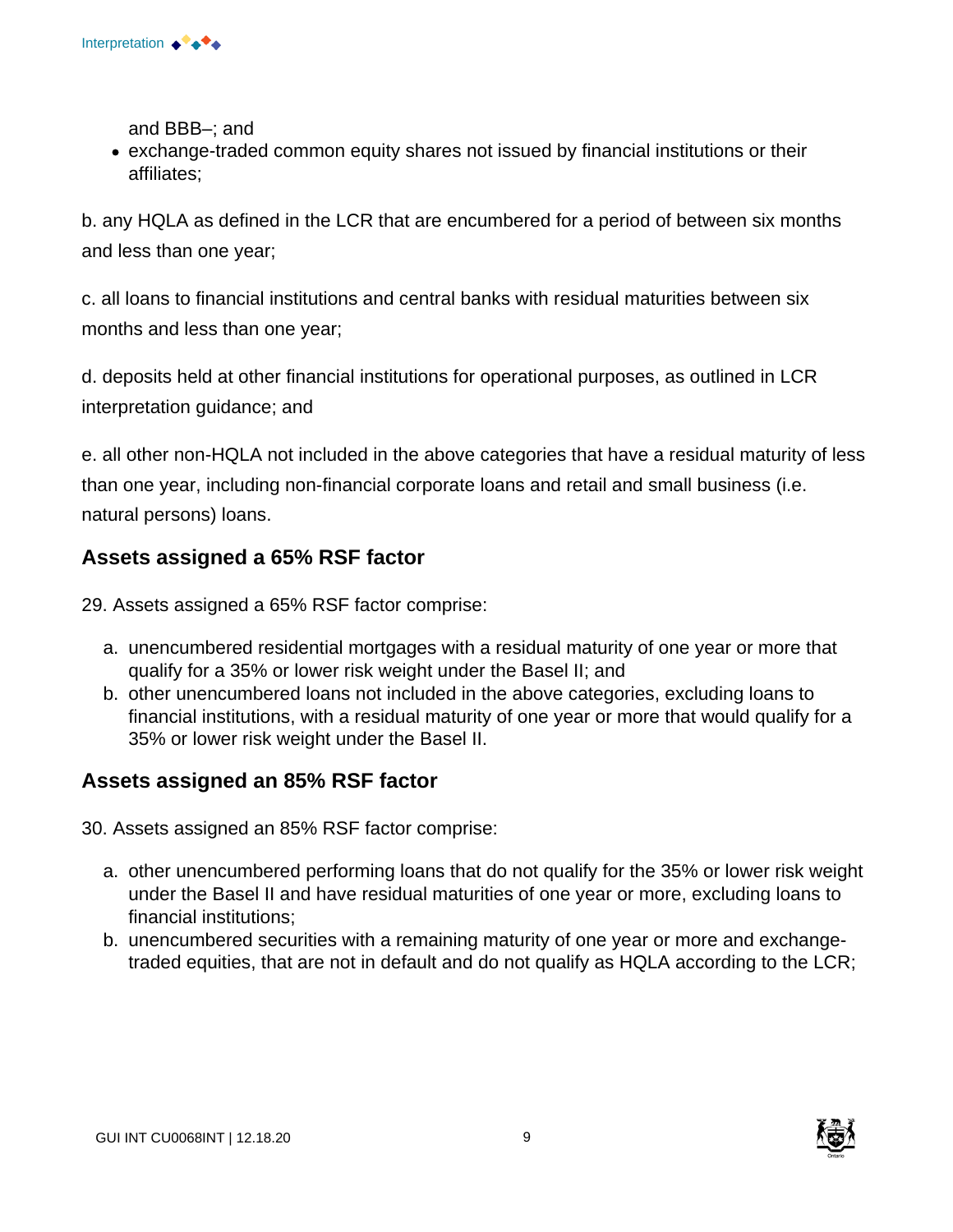

and BBB–; and

exchange-traded common equity shares not issued by financial institutions or their affiliates;

b. any HQLA as defined in the LCR that are encumbered for a period of between six months and less than one year;

c. all loans to financial institutions and central banks with residual maturities between six months and less than one year;

d. deposits held at other financial institutions for operational purposes, as outlined in LCR interpretation guidance; and

e. all other non-HQLA not included in the above categories that have a residual maturity of less than one year, including non-financial corporate loans and retail and small business (i.e. natural persons) loans.

#### **Assets assigned a 65% RSF factor**

29. Assets assigned a 65% RSF factor comprise:

- a. unencumbered residential mortgages with a residual maturity of one year or more that qualify for a 35% or lower risk weight under the Basel II; and
- b. other unencumbered loans not included in the above categories, excluding loans to financial institutions, with a residual maturity of one year or more that would qualify for a 35% or lower risk weight under the Basel II.

#### **Assets assigned an 85% RSF factor**

30. Assets assigned an 85% RSF factor comprise:

- a. other unencumbered performing loans that do not qualify for the 35% or lower risk weight under the Basel II and have residual maturities of one year or more, excluding loans to financial institutions;
- b. unencumbered securities with a remaining maturity of one year or more and exchangetraded equities, that are not in default and do not qualify as HQLA according to the LCR;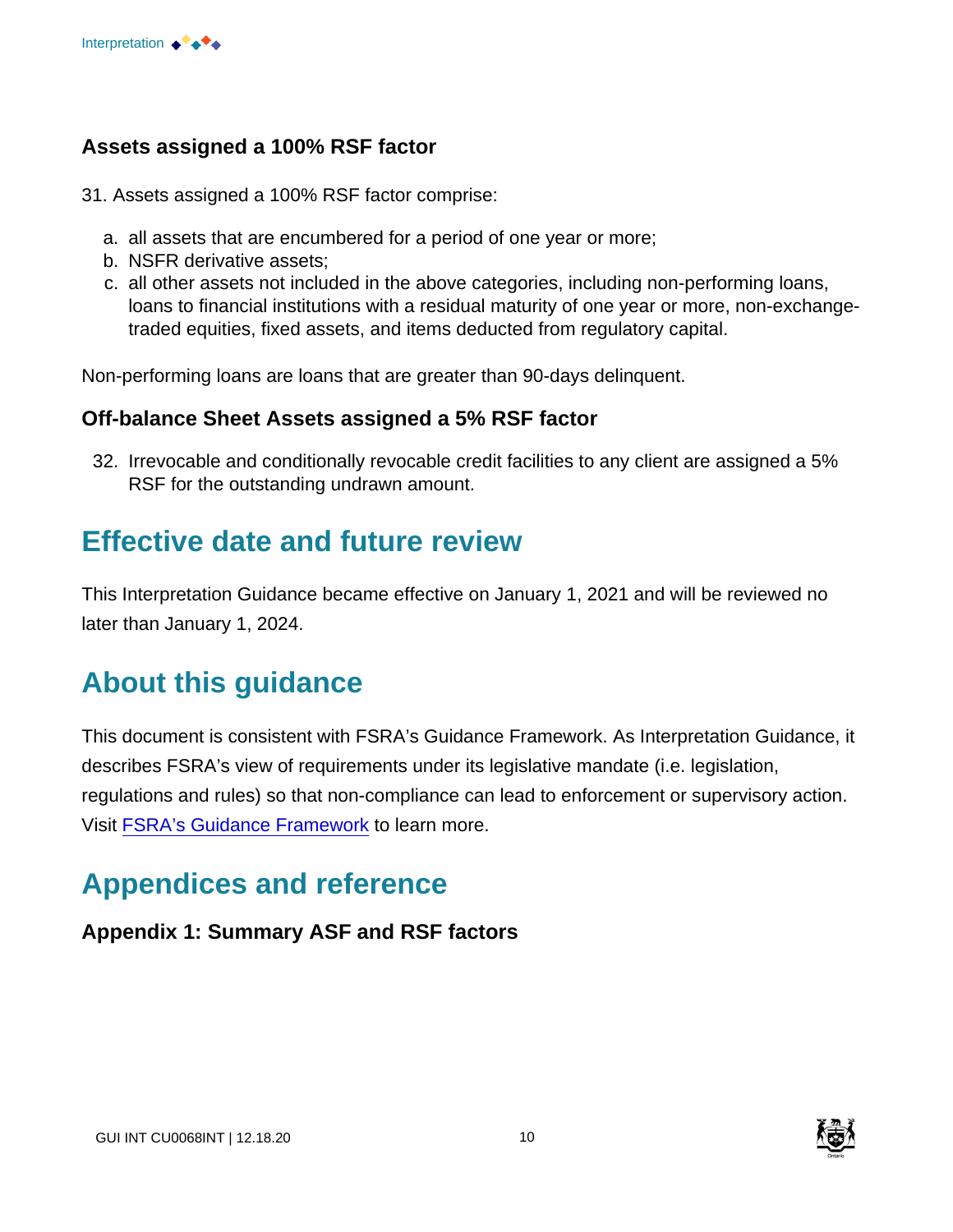#### **Assets assigned a 100% RSF factor**

- 31. Assets assigned a 100% RSF factor comprise:
	- a. all assets that are encumbered for a period of one year or more;
	- b. NSFR derivative assets;
	- c. all other assets not included in the above categories, including non-performing loans, loans to financial institutions with a residual maturity of one year or more, non-exchangetraded equities, fixed assets, and items deducted from regulatory capital.

Non-performing loans are loans that are greater than 90-days delinquent.

#### **Off-balance Sheet Assets assigned a 5% RSF factor**

32. Irrevocable and conditionally revocable credit facilities to any client are assigned a 5% RSF for the outstanding undrawn amount.

### **Effective date and future review**

This Interpretation Guidance became effective on January 1, 2021 and will be reviewed no later than January 1, 2024.

# **About this guidance**

This document is consistent with FSRA's Guidance Framework. As Interpretation Guidance, it describes FSRA's view of requirements under its legislative mandate (i.e. legislation, regulations and rules) so that non-compliance can lead to enforcement or supervisory action. Visit [FSRA's Guidance Framework](https://www.fsrao.ca/regulation/guidance/fsra-guidance-framework) to learn more.

# **Appendices and reference**

#### **Appendix 1: Summary ASF and RSF factors**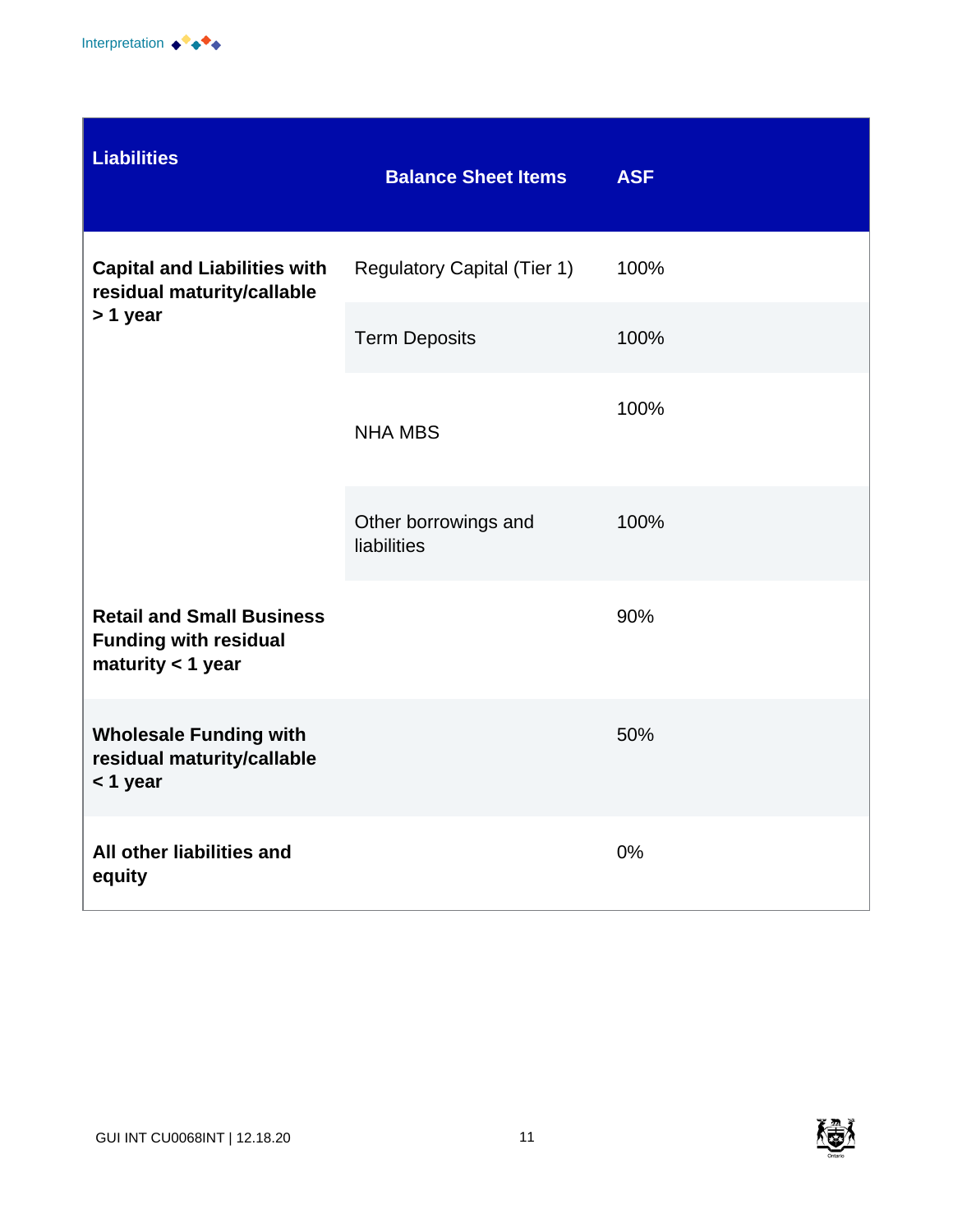

| <b>Liabilities</b>                                                                      | <b>Balance Sheet Items</b>          | <b>ASF</b> |
|-----------------------------------------------------------------------------------------|-------------------------------------|------------|
| <b>Capital and Liabilities with</b><br>residual maturity/callable<br>> 1 year           | <b>Regulatory Capital (Tier 1)</b>  | 100%       |
|                                                                                         | <b>Term Deposits</b>                | 100%       |
|                                                                                         | <b>NHA MBS</b>                      | 100%       |
|                                                                                         | Other borrowings and<br>liabilities | 100%       |
| <b>Retail and Small Business</b><br><b>Funding with residual</b><br>maturity $<$ 1 year |                                     | 90%        |
| <b>Wholesale Funding with</b><br>residual maturity/callable<br><1 year                  |                                     | 50%        |
| All other liabilities and<br>equity                                                     |                                     | 0%         |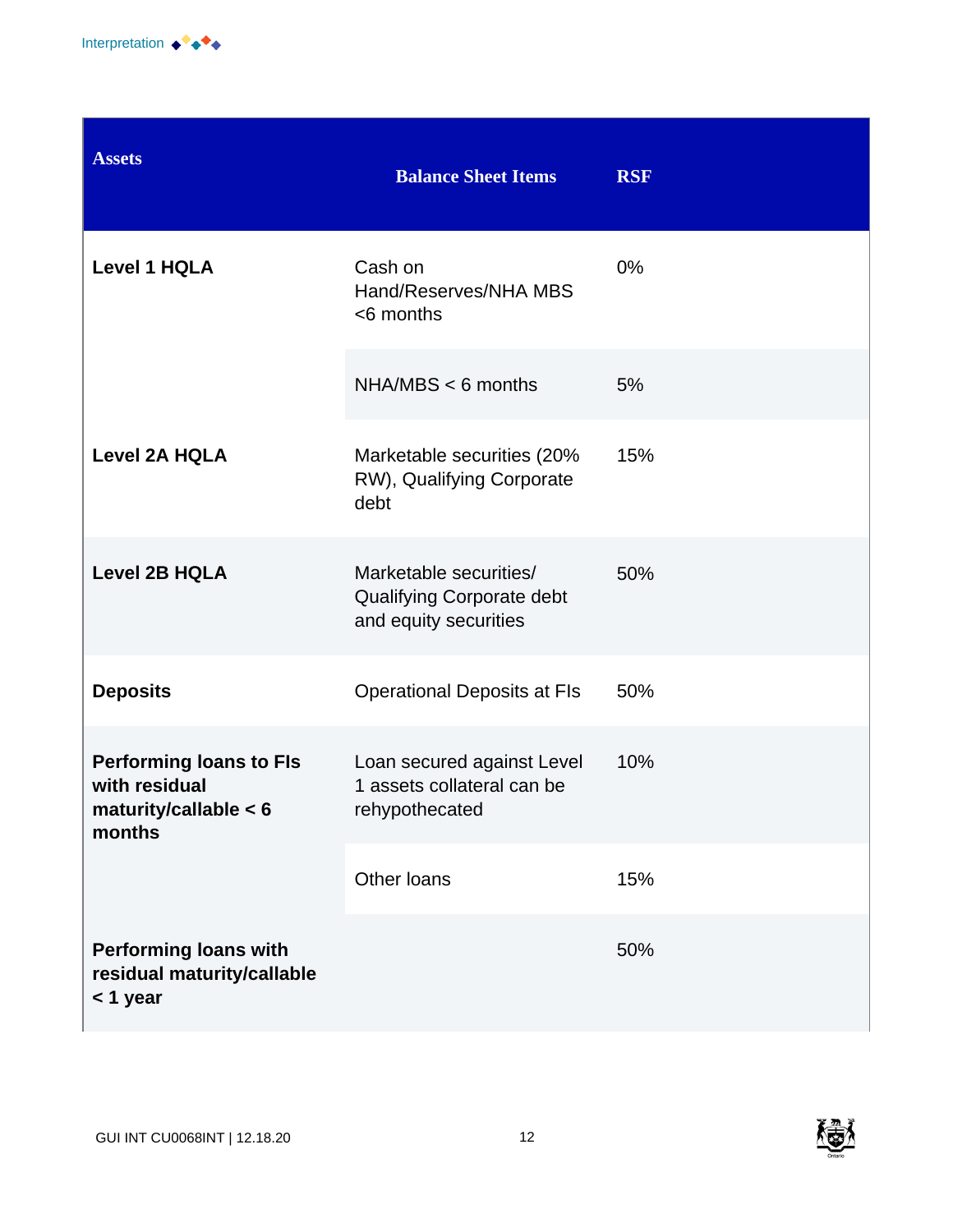

| <b>Assets</b>                                                                        | <b>Balance Sheet Items</b>                                                   | <b>RSF</b> |
|--------------------------------------------------------------------------------------|------------------------------------------------------------------------------|------------|
| <b>Level 1 HQLA</b>                                                                  | Cash on<br>Hand/Reserves/NHA MBS<br><6 months                                | 0%         |
|                                                                                      | $NHA/MBS < 6$ months                                                         | 5%         |
| <b>Level 2A HQLA</b>                                                                 | Marketable securities (20%<br>RW), Qualifying Corporate<br>debt              | 15%        |
| <b>Level 2B HQLA</b>                                                                 | Marketable securities/<br>Qualifying Corporate debt<br>and equity securities | 50%        |
| <b>Deposits</b>                                                                      | <b>Operational Deposits at FIs</b>                                           | 50%        |
| <b>Performing loans to FIs</b><br>with residual<br>maturity/callable $< 6$<br>months | Loan secured against Level<br>1 assets collateral can be<br>rehypothecated   | 10%        |
|                                                                                      | Other loans                                                                  | 15%        |
| <b>Performing loans with</b><br>residual maturity/callable<br>< 1 year               |                                                                              | 50%        |